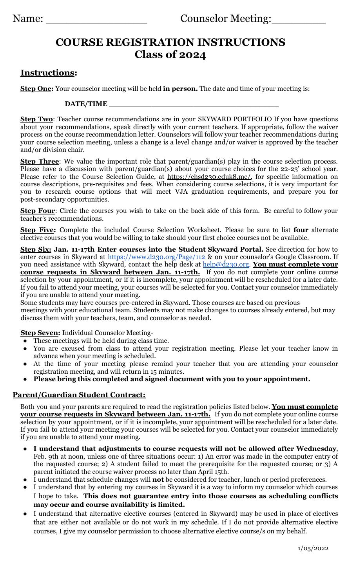# **COURSE REGISTRATION INSTRUCTIONS Class of 2024**

### **Instructions:**

**Step One:** Your counselor meeting will be held **in person.** The date and time of your meeting is:

#### **DATE/TIME \_\_\_\_\_\_\_\_\_\_\_\_\_\_\_\_\_\_\_\_\_\_\_\_\_\_\_\_\_\_\_\_\_\_\_\_**

**Step Two**: Teacher course recommendations are in your SKYWARD PORTFOLIO If you have questions about your recommendations, speak directly with your current teachers. If appropriate, follow the waiver process on the course recommendation letter. Counselors will follow your teacher recommendations during your course selection meeting, unless a change is a level change and/or waiver is approved by the teacher and/or division chair.

**Step Three**: We value the important role that parent/guardian(s) play in the course selection process. Please have a discussion with parent/guardian(s) about your course choices for the 22-23' school year. Please refer to the Course Selection Guide, at [https://chsd230.eduk8.me/,](https://chsd230.eduk8.me/) for specific information on course descriptions, pre-requisites and fees. When considering course selections, it is very important for you to research course options that will meet VJA graduation requirements, and prepare you for post-secondary opportunities.

**Step Four**: Circle the courses you wish to take on the back side of this form. Be careful to follow your teacher's recommendations.

**Step Five:** Complete the included Course Selection Worksheet. Please be sure to list **four** alternate elective courses that you would be willing to take should your first choice courses not be available.

**Step Six: Jan. 11-17th Enter courses into the Student Skyward Portal.** See direction for how to enter courses in Skyward at <https://www.d230.org/Page/112> & on your counselor's Google Classroom. If you need assistance with Skyward, contact the help desk at [help@d230.org.](mailto:help@d230.org) **You must complete your course requests in Skyward between Jan. 11-17th.** If you do not complete your online course selection by your appointment, or if it is incomplete, your appointment will be rescheduled for a later date. If you fail to attend your meeting, your courses will be selected for you. Contact your counselor immediately if you are unable to attend your meeting.

Some students may have courses pre-entered in Skyward. Those courses are based on previous meetings with your educational team. Students may not make changes to courses already entered, but may discuss them with your teachers, team, and counselor as needed.

**Step Seven:** Individual Counselor Meeting-

- These meetings will be held during class time.
- You are excused from class to attend your registration meeting. Please let your teacher know in advance when your meeting is scheduled.
- At the time of your meeting please remind your teacher that you are attending your counselor registration meeting, and will return in 15 minutes.
- **● Please bring this completed and signed document with you to your appointment.**

### **Parent/Guardian Student Contract:**

Both you and your parents are required to read the registration policies listed below. **You must complete your course requests in Skyward between Jan. 11-17th.** If you do not complete your online course selection by your appointment, or if it is incomplete, your appointment will be rescheduled for a later date. If you fail to attend your meeting your courses will be selected for you. Contact your counselor immediately if you are unable to attend your meeting.

- **I understand that adjustments to course requests will not be allowed after Wednesday**, Feb. 9th at noon, unless one of three situations occur: 1) An error was made in the computer entry of the requested course; 2) A student failed to meet the prerequisite for the requested course; or 3) A parent initiated the course waiver process no later than April 15th.
- I understand that schedule changes will **not** be considered for teacher, lunch or period preferences.
- I understand that by entering my courses in Skyward it is a way to inform my counselor which courses I hope to take. **This does not guarantee entry into those courses as scheduling conflicts may occur and course availability is limited.**
- I understand that alternative elective courses (entered in Skyward) may be used in place of electives that are either not available or do not work in my schedule. If I do not provide alternative elective courses, I give my counselor permission to choose alternative elective course/s on my behalf.